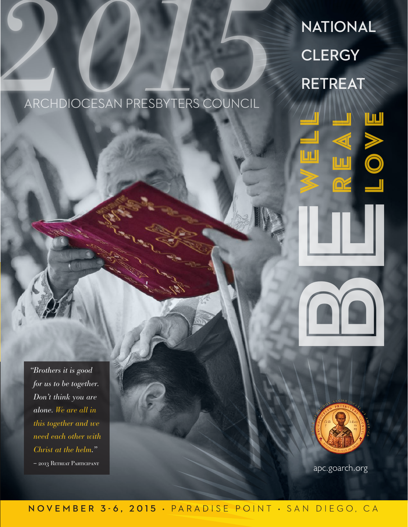# **NATIONAL CLERGY**<br> *ARCHDIOCESAN PRESBYTERS COUNCIL*

# ARCHDIOCESAN PRESBYTERS COUNCIL

*"Brothers it is good for us to be together. Don't think you are alone. We are all in this together and we need each other with Christ at the helm." –* 2013 Retreat Participant apc.goarch.org





#### **NOVEMBER 3-6, 2015** • PARADISE POINT • SAN DIEGO, CA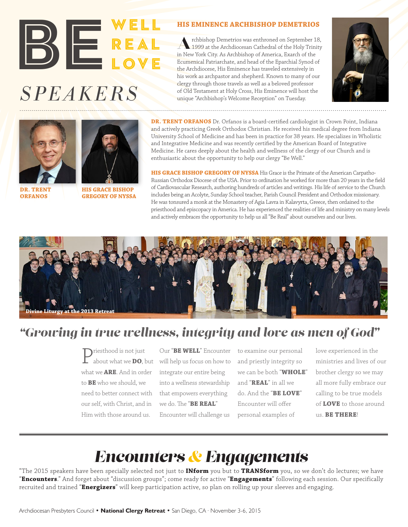# *SPEAKERS* BE REAL REAL LOVE

#### **HIS EMINENCE ARCHBISHOP DEMETRIOS**

Archbishop Demetrios was enthroned on September 18,<br>
1999 at the Archdiocesan Cathedral of the Holy Trinity in New York City. As Archbishop of America, Exarch of the Ecumenical Patriarchate, and head of the Eparchial Synod of the Archdiocese, His Eminence has traveled extensively in his work as archpastor and shepherd. Known to many of our clergy through those travels as well as a beloved professor of Old Testament at Holy Cross, His Eminence will host the unique "Archbishop's Welcome Reception" on Tuesday.







**DR. TRENT ORFANOS**

**HIS GRACE BISHOP GREGORY OF NYSSA**

**DR. TRENT ORFANOS** Dr. Orfanos is a board-certified cardiologist in Crown Point, Indiana and actively practicing Greek Orthodox Christian. He received his medical degree from Indiana University School of Medicine and has been in practice for 38 years. He specializes in Wholistic and Integrative Medicine and was recently certified by the American Board of Integrative Medicine. He cares deeply about the health and wellness of the clergy of our Church and is enthusiastic about the opportunity to help our clergy "Be Well."

**HIS GRACE BISHOP GREGORY OF NYSSA** His Grace is the Primate of the American Carpatho-Russian Orthodox Diocese of the USA. Prior to ordination he worked for more than 20 years in the field of Cardiovascular Research, authoring hundreds of articles and writings. His life of service to the Church includes being an Acolyte, Sunday School teacher, Parish Council President and Orthodox missionary. He was tonsured a monk at the Monastery of Agia Lavra in Kalavyrta, Greece, then ordained to the priesthood and episcopacy in America. He has experienced the realities of life and ministry on many levels and actively embraces the opportunity to help us all "Be Real" about ourselves and our lives.



# *"Growing in true wellness, integrity and love as men of God"*

what we **ARE**. And in order to **BE** who we should, we need to better connect with our self, with Christ, and in Him with those around us.

Priesthood is not just about what we **DO**, but will help us focus on how to Our "BE WELL" Encounter to examine our personal integrate our entire being into a wellness stewardship that empowers everything we do. The "**BE REAL**" Encounter will challenge us

and priestly integrity so we can be both "**WHOLE**" and "**REAL**" in all we do. And the "**BE LOVE**" Encounter will offer personal examples of

love experienced in the ministries and lives of our brother clergy so we may all more fully embrace our calling to be true models of **LOVE** to those around us. **BE THERE**!

# *Encounters & Engagements*

"The 2015 speakers have been specially selected not just to **INform** you but to **TRANSform** you, so we don't do lectures; we have "**Encounters**." And forget about "discussion groups"; come ready for active "**Engagements**" following each session. Our specifically recruited and trained "**Energizers**" will keep participation active, so plan on rolling up your sleeves and engaging.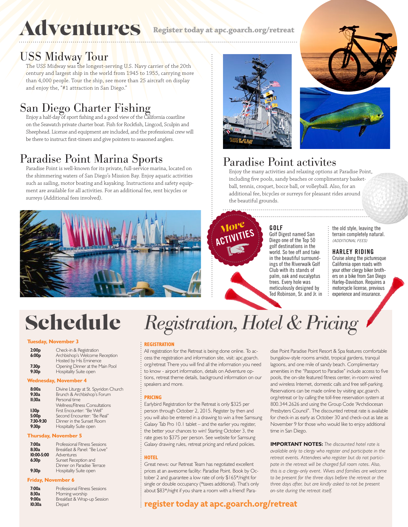# **Adventures**

**Register today at apc.goarch.org/retreat**

## USS Midway Tour

The USS Midway was the lo<mark>n</mark>gest-serving U.S. Navy carrier of the 20th century and largest ship in the world from 1945 to 1955, carrying more than 4,000 people. Tour the ship, see more than 25 aircraft on display and enjoy the, "#1 attraction in San Diego."

# San Diego Charter Fishing

Enjoy a half-day of sport fishing and a good view of the California coastline on the Seawatch private charter boat. Fish for Rockfish, Lingcod, Sculpin and Sheephead. License and equipment are included, and the professional crew will be there to instruct first-timers and give pointers to seasoned anglers.

# Paradise Point Marina Sports

Paradise Point is well-known for its private, full-service marina, located on the shimmering waters of San Diego's Mission Bay. Enjoy aquatic activities such as sailing, motor boating and kayaking. Instructions and safety equipment are available for all activities. For an additional fee, rent bicycles or surreys (Additional fees involved).







# Paradise Point activites

Enjoy the many activities and relaxing options at Paradise Point, including five pools, sandy beaches or complimentary basketball, tennis, croquet, bocce ball, or volleyball. Also, for an additional fee, bicycles or surreys for pleasant rides around the beautiful grounds.



#### **GOLF**

Golf Digest named San Diego one of the Top 50 golf destinations in the world. So tee off and take in the beautiful surroundings of the Riverwalk Golf Club with its stands of palm, oak and eucalyptus trees. Every hole was meticulously designed by Ted Robinson, Sr. and Jr. in the old style, leaving the terrain completely natural. *(ADDITIONAL FEES)*

#### **HARLEY RIDING**

Cruise along the picturesque California open roads with your other clergy biker brothers on a bike from San Diego Harley-Davidson. Requires a motorcycle license, previous experience and insurance.

### Schedule *Registration, Hotel & Pricing*

#### **Tuesday, November 3**

| 2:00 <sub>p</sub><br>6:00 <sub>p</sub> | Check-in & Registration<br>Archbishop's Welcome Reception |  |
|----------------------------------------|-----------------------------------------------------------|--|
| 7:30 <sub>p</sub>                      | Hosted by His Eminence<br>Opening Dinner at the Main Pool |  |
| 9:30 <sub>p</sub>                      | Hospitality Suite open                                    |  |

#### **Wednesday, November 4**

| 8:00a<br>9:30a<br>II:30a | Divine Liturgy at St. Spyridon Church<br>Brunch & Archbishop's Forum<br>Personal time |
|--------------------------|---------------------------------------------------------------------------------------|
|                          | <b>Wellness/Fitness Consultations</b>                                                 |
| 1:30 <sub>p</sub>        | First Encounter: "Be Well"                                                            |
| 5:00p                    | Second Encounter: "Be Real"                                                           |
| 7:30-9:30                | Dinner in the Sunset Room                                                             |
| 9:30 <sub>p</sub>        | <b>Hospitality Suite open</b>                                                         |

#### **Thursday, November 5**

| 7:00a<br>8:30a<br>$10:00 - 5:00$ | Professional Fitness Sessions<br>Breakfast & Panel: "Be I ove"<br>Adventures |
|----------------------------------|------------------------------------------------------------------------------|
| 6:30 <sub>p</sub>                | Sunset Reception and                                                         |
| 9:30 <sub>p</sub>                | Dinner on Paradise Terrace<br><b>Hospitality Suite open</b>                  |

#### **Friday, November 6**

| 7:00a  | Professional Fitness Sessions |
|--------|-------------------------------|
| 8:30a  | Morning worship               |
| 9:00a  | Breakfast & Wrap-up Session   |
| 10:30a | Depart                        |

#### **REGISTRATION**

All registration for the Retreat is being done online. To access the registration and information site, visit: apc.goarch. org/retreat There you will find all the information you need to know - airport information, details on Adventure options, retreat theme details, background information on our speakers and more.

#### **PRICING**

Earlybird Registration for the Retreat is only \$325 per person through October 2, 2015. Register by then and you will also be entered in a drawing to win a free Samsung Galaxy Tab Pro 10.1 tablet – and the earlier you register, the better your chances to win! Starting October 3, the rate goes to \$375 per person. See website for Samsung Galaxy drawing rules, retreat pricing and refund policies.

#### **HOTEL**

Great news: our Retreat Team has negotiated excellent prices at an awesome facility: Paradise Point. Book by October 2 and guarantee a low rate of only \$165\*/night for single or double occupancy (\*taxes additional). That's only about \$83\*/night if you share a room with a friend! Paradise Point Paradise Point Resort & Spa features comfortable bungalow-style rooms amidst, tropical gardens, tranquil lagoons, and one mile of sandy beach. Complimentary amenities in the "Passport to Paradise" include access to five pools, the on-site featured fitness center, in-room wired and wireless Internet, domestic calls and free self-parking. Reservations can be made online by visiting apc.goarch. org/retreat or by calling the toll-free reservation system at 800.344.2626 and using the Group Code "Archdiocesan Presbyters Council". The discounted retreat rate is available for check-in as early as October 30 and check-out as late as November 9 for those who would like to enjoy additional time in San Diego.

**IMPORTANT NOTES:** *The discounted hotel rate is available only to clergy who register and participate in the retreat events. Attendees who register but do not participate in the retreat will be charged full room rates. Also, this is a clergy-only event. Wives and families are welcome to be present for the three days before the retreat or the three days after, but are kindly asked to not be present on-site during the retreat itself.*

#### Archdiocesan Presbyters Council • **National Clergy Retreat** • San Diego, CA · November 3-6, 2015 **register today at apc.goarch.org/retreat**